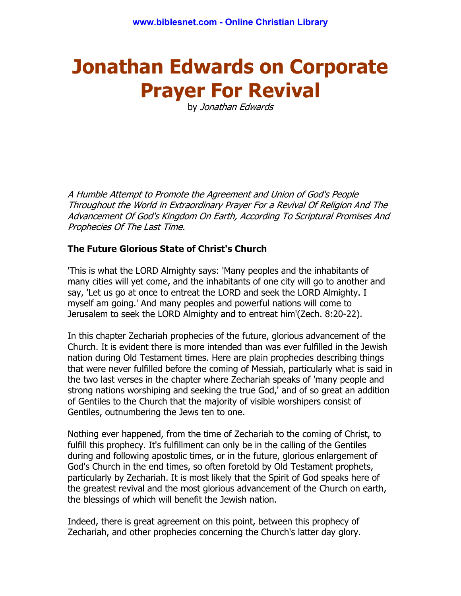# Jonathan Edwards on Corporate Prayer For Revival

by Jonathan Edwards

A Humble Attempt to Promote the Agreement and Union of God's People Throughout the World in Extraordinary Prayer For a Revival Of Religion And The Advancement Of God's Kingdom On Earth, According To Scriptural Promises And Prophecies Of The Last Time.

# The Future Glorious State of Christ's Church

'This is what the LORD Almighty says: 'Many peoples and the inhabitants of many cities will yet come, and the inhabitants of one city will go to another and say, 'Let us go at once to entreat the LORD and seek the LORD Almighty. I myself am going.' And many peoples and powerful nations will come to Jerusalem to seek the LORD Almighty and to entreat him'(Zech. 8:20-22).

In this chapter Zechariah prophecies of the future, glorious advancement of the Church. It is evident there is more intended than was ever fulfilled in the Jewish nation during Old Testament times. Here are plain prophecies describing things that were never fulfilled before the coming of Messiah, particularly what is said in the two last verses in the chapter where Zechariah speaks of 'many people and strong nations worshiping and seeking the true God,' and of so great an addition of Gentiles to the Church that the majority of visible worshipers consist of Gentiles, outnumbering the Jews ten to one.

Nothing ever happened, from the time of Zechariah to the coming of Christ, to fulfill this prophecy. It's fulfillment can only be in the calling of the Gentiles during and following apostolic times, or in the future, glorious enlargement of God's Church in the end times, so often foretold by Old Testament prophets, particularly by Zechariah. It is most likely that the Spirit of God speaks here of the greatest revival and the most glorious advancement of the Church on earth, the blessings of which will benefit the Jewish nation.

Indeed, there is great agreement on this point, between this prophecy of Zechariah, and other prophecies concerning the Church's latter day glory.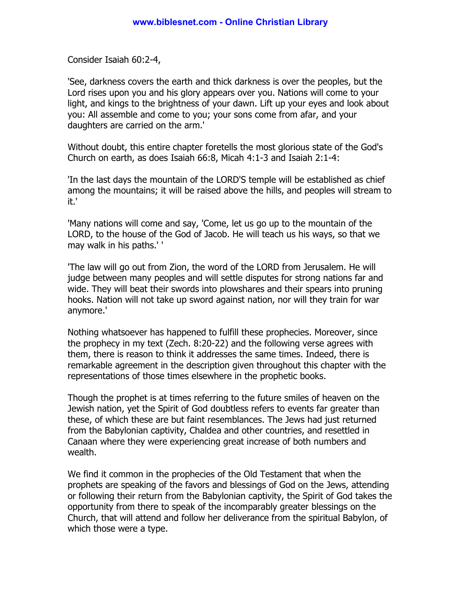Consider Isaiah 60:2-4,

'See, darkness covers the earth and thick darkness is over the peoples, but the Lord rises upon you and his glory appears over you. Nations will come to your light, and kings to the brightness of your dawn. Lift up your eyes and look about you: All assemble and come to you; your sons come from afar, and your daughters are carried on the arm.'

Without doubt, this entire chapter foretells the most glorious state of the God's Church on earth, as does Isaiah 66:8, Micah 4:1-3 and Isaiah 2:1-4:

'In the last days the mountain of the LORD'S temple will be established as chief among the mountains; it will be raised above the hills, and peoples will stream to it.'

'Many nations will come and say, 'Come, let us go up to the mountain of the LORD, to the house of the God of Jacob. He will teach us his ways, so that we may walk in his paths.' '

'The law will go out from Zion, the word of the LORD from Jerusalem. He will judge between many peoples and will settle disputes for strong nations far and wide. They will beat their swords into plowshares and their spears into pruning hooks. Nation will not take up sword against nation, nor will they train for war anymore.'

Nothing whatsoever has happened to fulfill these prophecies. Moreover, since the prophecy in my text (Zech. 8:20-22) and the following verse agrees with them, there is reason to think it addresses the same times. Indeed, there is remarkable agreement in the description given throughout this chapter with the representations of those times elsewhere in the prophetic books.

Though the prophet is at times referring to the future smiles of heaven on the Jewish nation, yet the Spirit of God doubtless refers to events far greater than these, of which these are but faint resemblances. The Jews had just returned from the Babylonian captivity, Chaldea and other countries, and resettled in Canaan where they were experiencing great increase of both numbers and wealth.

We find it common in the prophecies of the Old Testament that when the prophets are speaking of the favors and blessings of God on the Jews, attending or following their return from the Babylonian captivity, the Spirit of God takes the opportunity from there to speak of the incomparably greater blessings on the Church, that will attend and follow her deliverance from the spiritual Babylon, of which those were a type.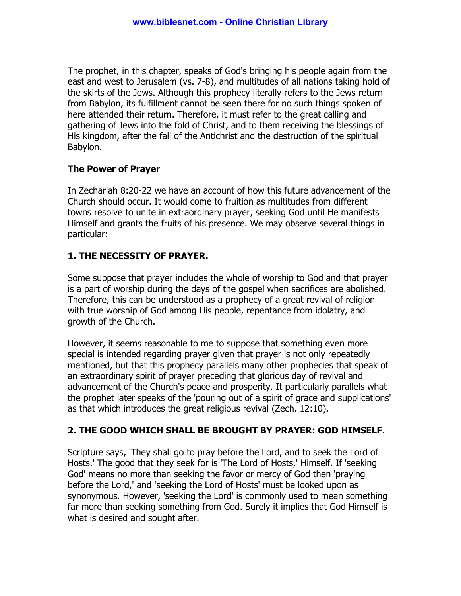The prophet, in this chapter, speaks of God's bringing his people again from the east and west to Jerusalem (vs. 7-8), and multitudes of all nations taking hold of the skirts of the Jews. Although this prophecy literally refers to the Jews return from Babylon, its fulfillment cannot be seen there for no such things spoken of here attended their return. Therefore, it must refer to the great calling and gathering of Jews into the fold of Christ, and to them receiving the blessings of His kingdom, after the fall of the Antichrist and the destruction of the spiritual Babylon.

#### The Power of Prayer

In Zechariah 8:20-22 we have an account of how this future advancement of the Church should occur. It would come to fruition as multitudes from different towns resolve to unite in extraordinary prayer, seeking God until He manifests Himself and grants the fruits of his presence. We may observe several things in particular:

### 1. THE NECESSITY OF PRAYER.

Some suppose that prayer includes the whole of worship to God and that prayer is a part of worship during the days of the gospel when sacrifices are abolished. Therefore, this can be understood as a prophecy of a great revival of religion with true worship of God among His people, repentance from idolatry, and growth of the Church.

However, it seems reasonable to me to suppose that something even more special is intended regarding prayer given that prayer is not only repeatedly mentioned, but that this prophecy parallels many other prophecies that speak of an extraordinary spirit of prayer preceding that glorious day of revival and advancement of the Church's peace and prosperity. It particularly parallels what the prophet later speaks of the 'pouring out of a spirit of grace and supplications' as that which introduces the great religious revival (Zech. 12:10).

# 2. THE GOOD WHICH SHALL BE BROUGHT BY PRAYER: GOD HIMSELF.

Scripture says, 'They shall go to pray before the Lord, and to seek the Lord of Hosts.' The good that they seek for is 'The Lord of Hosts,' Himself. If 'seeking God' means no more than seeking the favor or mercy of God then 'praying before the Lord,' and 'seeking the Lord of Hosts' must be looked upon as synonymous. However, 'seeking the Lord' is commonly used to mean something far more than seeking something from God. Surely it implies that God Himself is what is desired and sought after.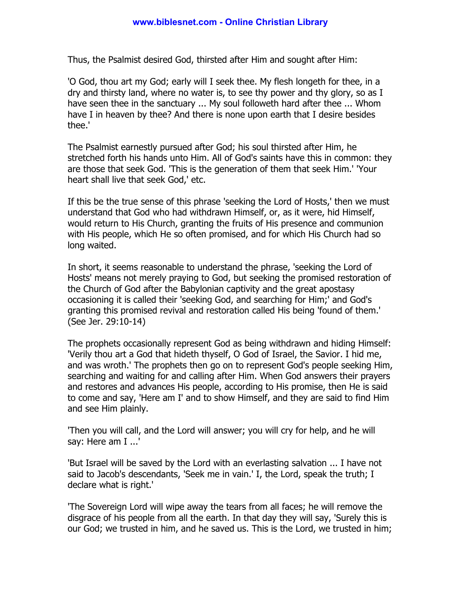Thus, the Psalmist desired God, thirsted after Him and sought after Him:

'O God, thou art my God; early will I seek thee. My flesh longeth for thee, in a dry and thirsty land, where no water is, to see thy power and thy glory, so as I have seen thee in the sanctuary ... My soul followeth hard after thee ... Whom have I in heaven by thee? And there is none upon earth that I desire besides thee.'

The Psalmist earnestly pursued after God; his soul thirsted after Him, he stretched forth his hands unto Him. All of God's saints have this in common: they are those that seek God. 'This is the generation of them that seek Him.' 'Your heart shall live that seek God,' etc.

If this be the true sense of this phrase 'seeking the Lord of Hosts,' then we must understand that God who had withdrawn Himself, or, as it were, hid Himself, would return to His Church, granting the fruits of His presence and communion with His people, which He so often promised, and for which His Church had so long waited.

In short, it seems reasonable to understand the phrase, 'seeking the Lord of Hosts' means not merely praying to God, but seeking the promised restoration of the Church of God after the Babylonian captivity and the great apostasy occasioning it is called their 'seeking God, and searching for Him;' and God's granting this promised revival and restoration called His being 'found of them.' (See Jer. 29:10-14)

The prophets occasionally represent God as being withdrawn and hiding Himself: 'Verily thou art a God that hideth thyself, O God of Israel, the Savior. I hid me, and was wroth.' The prophets then go on to represent God's people seeking Him, searching and waiting for and calling after Him. When God answers their prayers and restores and advances His people, according to His promise, then He is said to come and say, 'Here am I' and to show Himself, and they are said to find Him and see Him plainly.

'Then you will call, and the Lord will answer; you will cry for help, and he will say: Here am I ...'

'But Israel will be saved by the Lord with an everlasting salvation ... I have not said to Jacob's descendants, 'Seek me in vain.' I, the Lord, speak the truth; I declare what is right.'

'The Sovereign Lord will wipe away the tears from all faces; he will remove the disgrace of his people from all the earth. In that day they will say, 'Surely this is our God; we trusted in him, and he saved us. This is the Lord, we trusted in him;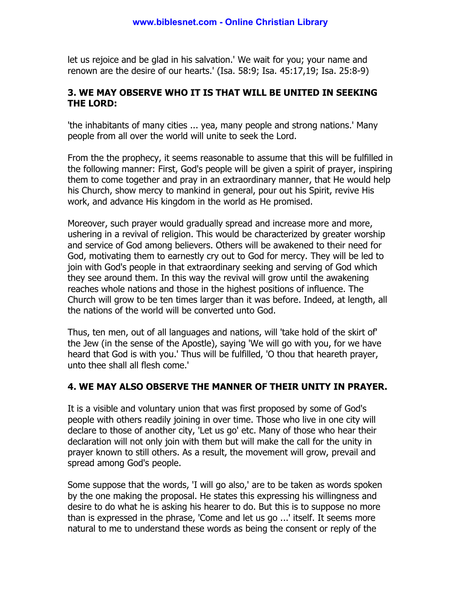let us rejoice and be glad in his salvation.' We wait for you; your name and renown are the desire of our hearts.' (Isa. 58:9; Isa. 45:17,19; Isa. 25:8-9)

#### 3. WE MAY OBSERVE WHO IT IS THAT WILL BE UNITED IN SEEKING THE LORD:

'the inhabitants of many cities ... yea, many people and strong nations.' Many people from all over the world will unite to seek the Lord.

From the the prophecy, it seems reasonable to assume that this will be fulfilled in the following manner: First, God's people will be given a spirit of prayer, inspiring them to come together and pray in an extraordinary manner, that He would help his Church, show mercy to mankind in general, pour out his Spirit, revive His work, and advance His kingdom in the world as He promised.

Moreover, such prayer would gradually spread and increase more and more, ushering in a revival of religion. This would be characterized by greater worship and service of God among believers. Others will be awakened to their need for God, motivating them to earnestly cry out to God for mercy. They will be led to join with God's people in that extraordinary seeking and serving of God which they see around them. In this way the revival will grow until the awakening reaches whole nations and those in the highest positions of influence. The Church will grow to be ten times larger than it was before. Indeed, at length, all the nations of the world will be converted unto God.

Thus, ten men, out of all languages and nations, will 'take hold of the skirt of' the Jew (in the sense of the Apostle), saying 'We will go with you, for we have heard that God is with you.' Thus will be fulfilled, 'O thou that heareth prayer, unto thee shall all flesh come.'

#### 4. WE MAY ALSO OBSERVE THE MANNER OF THEIR UNITY IN PRAYER.

It is a visible and voluntary union that was first proposed by some of God's people with others readily joining in over time. Those who live in one city will declare to those of another city, 'Let us go' etc. Many of those who hear their declaration will not only join with them but will make the call for the unity in prayer known to still others. As a result, the movement will grow, prevail and spread among God's people.

Some suppose that the words, 'I will go also,' are to be taken as words spoken by the one making the proposal. He states this expressing his willingness and desire to do what he is asking his hearer to do. But this is to suppose no more than is expressed in the phrase, 'Come and let us go ...' itself. It seems more natural to me to understand these words as being the consent or reply of the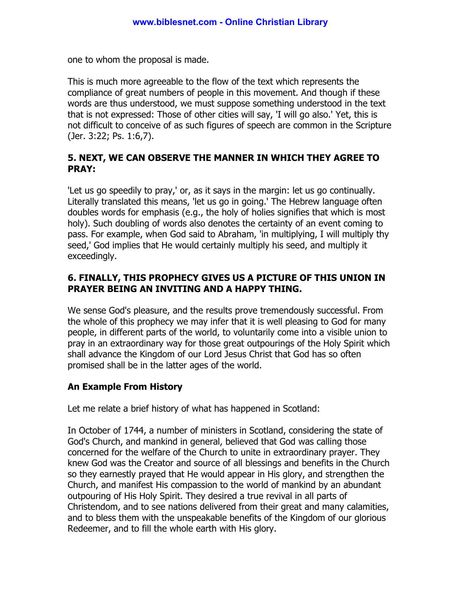one to whom the proposal is made.

This is much more agreeable to the flow of the text which represents the compliance of great numbers of people in this movement. And though if these words are thus understood, we must suppose something understood in the text that is not expressed: Those of other cities will say, 'I will go also.' Yet, this is not difficult to conceive of as such figures of speech are common in the Scripture (Jer. 3:22; Ps. 1:6,7).

# 5. NEXT, WE CAN OBSERVE THE MANNER IN WHICH THEY AGREE TO PRAY:

'Let us go speedily to pray,' or, as it says in the margin: let us go continually. Literally translated this means, 'let us go in going.' The Hebrew language often doubles words for emphasis (e.g., the holy of holies signifies that which is most holy). Such doubling of words also denotes the certainty of an event coming to pass. For example, when God said to Abraham, 'in multiplying, I will multiply thy seed,' God implies that He would certainly multiply his seed, and multiply it exceedingly.

## 6. FINALLY, THIS PROPHECY GIVES US A PICTURE OF THIS UNION IN PRAYER BEING AN INVITING AND A HAPPY THING.

We sense God's pleasure, and the results prove tremendously successful. From the whole of this prophecy we may infer that it is well pleasing to God for many people, in different parts of the world, to voluntarily come into a visible union to pray in an extraordinary way for those great outpourings of the Holy Spirit which shall advance the Kingdom of our Lord Jesus Christ that God has so often promised shall be in the latter ages of the world.

# An Example From History

Let me relate a brief history of what has happened in Scotland:

In October of 1744, a number of ministers in Scotland, considering the state of God's Church, and mankind in general, believed that God was calling those concerned for the welfare of the Church to unite in extraordinary prayer. They knew God was the Creator and source of all blessings and benefits in the Church so they earnestly prayed that He would appear in His glory, and strengthen the Church, and manifest His compassion to the world of mankind by an abundant outpouring of His Holy Spirit. They desired a true revival in all parts of Christendom, and to see nations delivered from their great and many calamities, and to bless them with the unspeakable benefits of the Kingdom of our glorious Redeemer, and to fill the whole earth with His glory.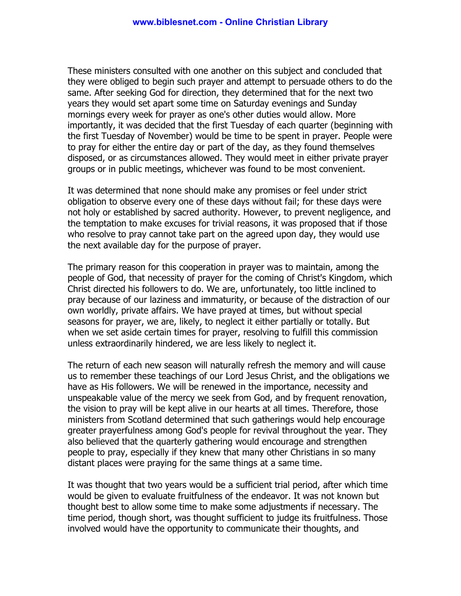These ministers consulted with one another on this subject and concluded that they were obliged to begin such prayer and attempt to persuade others to do the same. After seeking God for direction, they determined that for the next two years they would set apart some time on Saturday evenings and Sunday mornings every week for prayer as one's other duties would allow. More importantly, it was decided that the first Tuesday of each quarter (beginning with the first Tuesday of November) would be time to be spent in prayer. People were to pray for either the entire day or part of the day, as they found themselves disposed, or as circumstances allowed. They would meet in either private prayer groups or in public meetings, whichever was found to be most convenient.

It was determined that none should make any promises or feel under strict obligation to observe every one of these days without fail; for these days were not holy or established by sacred authority. However, to prevent negligence, and the temptation to make excuses for trivial reasons, it was proposed that if those who resolve to pray cannot take part on the agreed upon day, they would use the next available day for the purpose of prayer.

The primary reason for this cooperation in prayer was to maintain, among the people of God, that necessity of prayer for the coming of Christ's Kingdom, which Christ directed his followers to do. We are, unfortunately, too little inclined to pray because of our laziness and immaturity, or because of the distraction of our own worldly, private affairs. We have prayed at times, but without special seasons for prayer, we are, likely, to neglect it either partially or totally. But when we set aside certain times for prayer, resolving to fulfill this commission unless extraordinarily hindered, we are less likely to neglect it.

The return of each new season will naturally refresh the memory and will cause us to remember these teachings of our Lord Jesus Christ, and the obligations we have as His followers. We will be renewed in the importance, necessity and unspeakable value of the mercy we seek from God, and by frequent renovation, the vision to pray will be kept alive in our hearts at all times. Therefore, those ministers from Scotland determined that such gatherings would help encourage greater prayerfulness among God's people for revival throughout the year. They also believed that the quarterly gathering would encourage and strengthen people to pray, especially if they knew that many other Christians in so many distant places were praying for the same things at a same time.

It was thought that two years would be a sufficient trial period, after which time would be given to evaluate fruitfulness of the endeavor. It was not known but thought best to allow some time to make some adjustments if necessary. The time period, though short, was thought sufficient to judge its fruitfulness. Those involved would have the opportunity to communicate their thoughts, and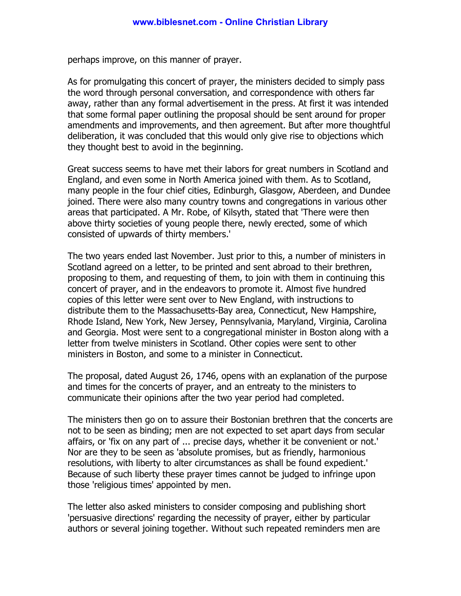perhaps improve, on this manner of prayer.

As for promulgating this concert of prayer, the ministers decided to simply pass the word through personal conversation, and correspondence with others far away, rather than any formal advertisement in the press. At first it was intended that some formal paper outlining the proposal should be sent around for proper amendments and improvements, and then agreement. But after more thoughtful deliberation, it was concluded that this would only give rise to objections which they thought best to avoid in the beginning.

Great success seems to have met their labors for great numbers in Scotland and England, and even some in North America joined with them. As to Scotland, many people in the four chief cities, Edinburgh, Glasgow, Aberdeen, and Dundee joined. There were also many country towns and congregations in various other areas that participated. A Mr. Robe, of Kilsyth, stated that 'There were then above thirty societies of young people there, newly erected, some of which consisted of upwards of thirty members.'

The two years ended last November. Just prior to this, a number of ministers in Scotland agreed on a letter, to be printed and sent abroad to their brethren, proposing to them, and requesting of them, to join with them in continuing this concert of prayer, and in the endeavors to promote it. Almost five hundred copies of this letter were sent over to New England, with instructions to distribute them to the Massachusetts-Bay area, Connecticut, New Hampshire, Rhode Island, New York, New Jersey, Pennsylvania, Maryland, Virginia, Carolina and Georgia. Most were sent to a congregational minister in Boston along with a letter from twelve ministers in Scotland. Other copies were sent to other ministers in Boston, and some to a minister in Connecticut.

The proposal, dated August 26, 1746, opens with an explanation of the purpose and times for the concerts of prayer, and an entreaty to the ministers to communicate their opinions after the two year period had completed.

The ministers then go on to assure their Bostonian brethren that the concerts are not to be seen as binding; men are not expected to set apart days from secular affairs, or 'fix on any part of ... precise days, whether it be convenient or not.' Nor are they to be seen as 'absolute promises, but as friendly, harmonious resolutions, with liberty to alter circumstances as shall be found expedient.' Because of such liberty these prayer times cannot be judged to infringe upon those 'religious times' appointed by men.

The letter also asked ministers to consider composing and publishing short 'persuasive directions' regarding the necessity of prayer, either by particular authors or several joining together. Without such repeated reminders men are